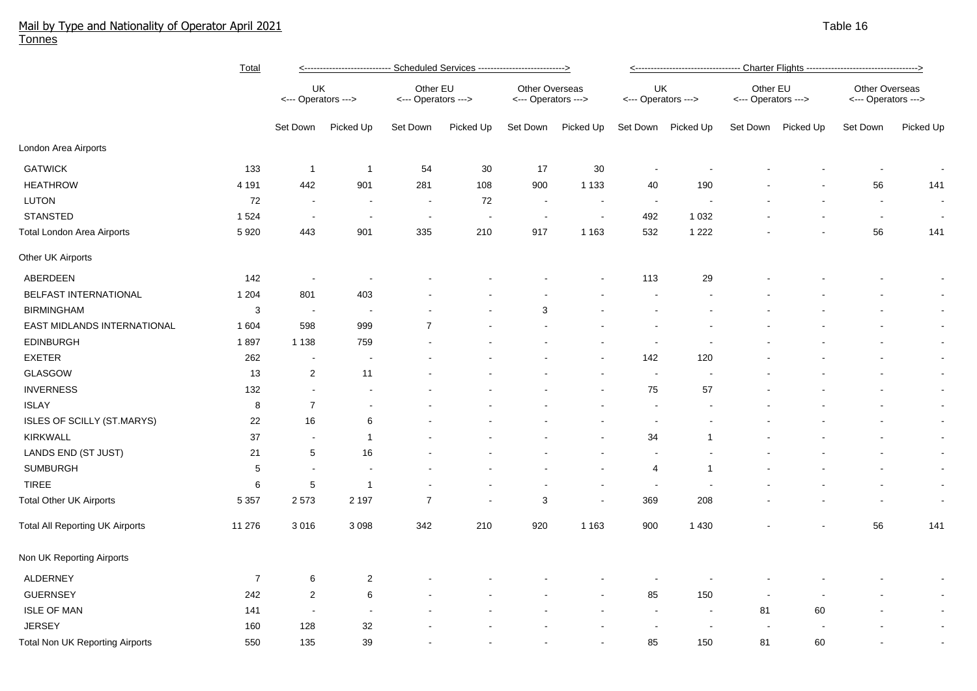## Mail by Type and Nationality of Operator April 2021 Table 16 and the series of the series of the series of the series of the series of the series of the series of the series of the 16 and 16 and 16 and 16 and 16 and 16 and Tonnes

|                                        | <b>Total</b>     | <----------------------------- Scheduled Services ----------------------------> |                          |                                 |                          |                                       |                |                           |                          |                                 |           |                                       |                          |
|----------------------------------------|------------------|---------------------------------------------------------------------------------|--------------------------|---------------------------------|--------------------------|---------------------------------------|----------------|---------------------------|--------------------------|---------------------------------|-----------|---------------------------------------|--------------------------|
|                                        |                  | UK<br><--- Operators --->                                                       |                          | Other EU<br><--- Operators ---> |                          | Other Overseas<br><--- Operators ---> |                | UK<br><--- Operators ---> |                          | Other EU<br><--- Operators ---> |           | Other Overseas<br><--- Operators ---> |                          |
|                                        |                  | Set Down                                                                        | Picked Up                | Set Down                        | Picked Up                | Set Down                              | Picked Up      | Set Down                  | Picked Up                | Set Down                        | Picked Up | Set Down                              | Picked Up                |
| London Area Airports                   |                  |                                                                                 |                          |                                 |                          |                                       |                |                           |                          |                                 |           |                                       |                          |
| <b>GATWICK</b>                         | 133              | -1                                                                              | $\overline{1}$           | 54                              | 30                       | 17                                    | 30             | $\overline{\phantom{a}}$  |                          |                                 |           |                                       |                          |
| <b>HEATHROW</b>                        | 4 1 9 1          | 442                                                                             | 901                      | 281                             | 108                      | 900                                   | 1 1 3 3        | 40                        | 190                      |                                 |           | 56                                    | 141                      |
| LUTON                                  | 72               | $\sim$                                                                          | $\blacksquare$           | $\blacksquare$                  | 72                       | $\sim$                                | $\blacksquare$ | $\sim$                    | $\overline{\phantom{a}}$ |                                 |           | $\sim$                                | $\sim$                   |
| <b>STANSTED</b>                        | 1 5 2 4          | $\sim$                                                                          | $\overline{\phantom{a}}$ | $\sim$                          | $\overline{\phantom{a}}$ | $\overline{\phantom{a}}$              | $\blacksquare$ | 492                       | 1 0 3 2                  |                                 |           | $\sim$                                | $\sim$                   |
| <b>Total London Area Airports</b>      | 5920             | 443                                                                             | 901                      | 335                             | 210                      | 917                                   | 1 1 6 3        | 532                       | 1 2 2 2                  |                                 |           | 56                                    | 141                      |
| Other UK Airports                      |                  |                                                                                 |                          |                                 |                          |                                       |                |                           |                          |                                 |           |                                       |                          |
| ABERDEEN                               | 142              | $\sim$                                                                          | $\overline{\phantom{a}}$ |                                 |                          |                                       |                | 113                       | 29                       |                                 |           |                                       | $\blacksquare$           |
| BELFAST INTERNATIONAL                  | 1 2 0 4          | 801                                                                             | 403                      |                                 |                          |                                       |                |                           |                          |                                 |           |                                       | $\sim$                   |
| <b>BIRMINGHAM</b>                      | 3                | $\sim$                                                                          |                          |                                 |                          | 3                                     |                |                           |                          |                                 |           |                                       | $\sim$                   |
| EAST MIDLANDS INTERNATIONAL            | 1 604            | 598                                                                             | 999                      | $\overline{7}$                  |                          |                                       |                |                           |                          |                                 |           |                                       | $\sim$                   |
| <b>EDINBURGH</b>                       | 1897             | 1 1 3 8                                                                         | 759                      |                                 |                          |                                       |                |                           |                          |                                 |           |                                       | $\sim$                   |
| <b>EXETER</b>                          | 262              |                                                                                 |                          |                                 |                          |                                       |                | 142                       | 120                      |                                 |           |                                       | $\sim$                   |
| GLASGOW                                | 13               | $\overline{c}$                                                                  | 11                       |                                 |                          |                                       |                | $\overline{\phantom{a}}$  |                          |                                 |           |                                       | $\sim$                   |
| <b>INVERNESS</b>                       | 132              |                                                                                 |                          |                                 |                          |                                       |                | 75                        | 57                       |                                 |           |                                       | $\sim$                   |
| <b>ISLAY</b>                           | 8                | $\overline{7}$                                                                  |                          |                                 |                          |                                       |                | $\overline{\phantom{a}}$  |                          |                                 |           |                                       | $\blacksquare$           |
| ISLES OF SCILLY (ST.MARYS)             | 22               | 16                                                                              | 6                        |                                 |                          |                                       |                | $\overline{\phantom{a}}$  |                          |                                 |           |                                       | $\blacksquare$           |
| <b>KIRKWALL</b>                        | 37               | $\sim$                                                                          | $\mathbf{1}$             |                                 |                          |                                       |                | 34                        | 1                        |                                 |           |                                       | $\blacksquare$           |
| LANDS END (ST JUST)                    | 21               | 5                                                                               | 16                       |                                 |                          |                                       |                | $\blacksquare$            |                          |                                 |           |                                       | $\blacksquare$           |
| <b>SUMBURGH</b>                        | 5                | $\overline{\phantom{a}}$                                                        |                          |                                 |                          |                                       |                | $\overline{4}$            | -1                       |                                 |           |                                       | $\blacksquare$           |
| <b>TIREE</b>                           | 6                | 5                                                                               | $\overline{1}$           |                                 |                          | $\overline{\phantom{a}}$              | $\blacksquare$ | $\overline{\phantom{a}}$  |                          |                                 |           |                                       | $\blacksquare$           |
| <b>Total Other UK Airports</b>         | 5 3 5 7          | 2573                                                                            | 2 1 9 7                  | $\overline{7}$                  |                          | 3                                     | $\blacksquare$ | 369                       | 208                      |                                 |           |                                       | $\sim$                   |
| <b>Total All Reporting UK Airports</b> | 11 276           | 3016                                                                            | 3 0 9 8                  | 342                             | 210                      | 920                                   | 1 1 6 3        | 900                       | 1 4 3 0                  |                                 |           | 56                                    | 141                      |
| Non UK Reporting Airports              |                  |                                                                                 |                          |                                 |                          |                                       |                |                           |                          |                                 |           |                                       |                          |
| <b>ALDERNEY</b>                        | $\boldsymbol{7}$ | 6                                                                               | $\overline{c}$           |                                 |                          |                                       |                |                           |                          |                                 |           |                                       | $\overline{\phantom{a}}$ |
| <b>GUERNSEY</b>                        | 242              | $\overline{c}$                                                                  | 6                        |                                 |                          |                                       |                | 85                        | 150                      | $\overline{\phantom{a}}$        |           |                                       | $\blacksquare$           |
| <b>ISLE OF MAN</b>                     | 141              | $\sim$                                                                          |                          |                                 |                          |                                       |                | $\sim$                    | $\overline{\phantom{a}}$ | 81                              | 60        |                                       | $\blacksquare$           |
| <b>JERSEY</b>                          | 160              | 128                                                                             | 32                       |                                 |                          |                                       |                |                           | $\overline{\phantom{a}}$ |                                 |           |                                       | $\blacksquare$           |
| Total Non UK Reporting Airports        | 550              | 135                                                                             | 39                       |                                 |                          |                                       |                | 85                        | 150                      | 81                              | 60        |                                       | $\sim$                   |